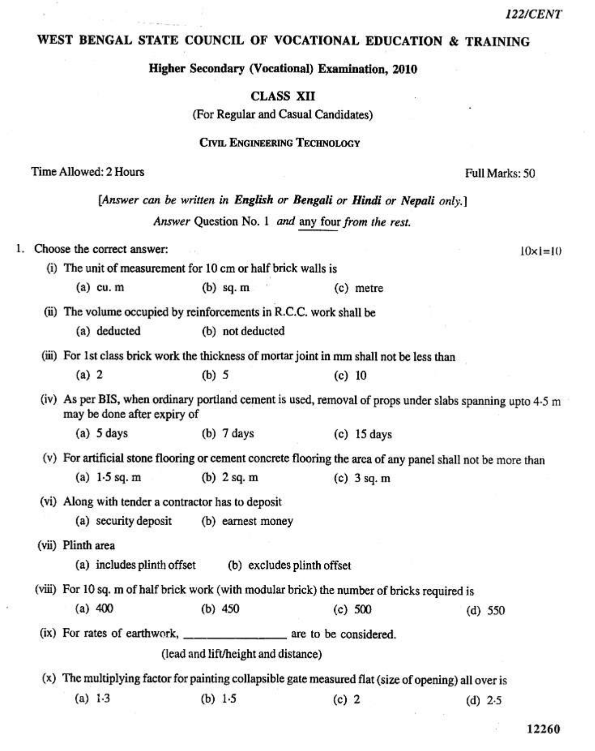## WEST BENGAL STATE COUNCIL OF VOCATIONAL EDUCATION & TRAINING

Higher Secondary (Vocational) Examination, 2010

**CLASS XII** 

(For Regular and Casual Candidates)

**CIVIL ENGINEERING TECHNOLOGY** 

## Time Allowed: 2 Hours

[Answer can be written in English or Bengali or Hindi or Nepali only.] Answer Question No. 1 and any four from the rest. 1. Choose the correct answer:  $10 \times 1 = 10$ (i) The unit of measurement for 10 cm or half brick walls is  $(a)$  cu. m  $(b)$  sq. m  $(c)$  metre (ii) The volume occupied by reinforcements in R.C.C. work shall be (a) deducted (b) not deducted (iii) For 1st class brick work the thickness of mortar joint in mm shall not be less than  $(a) 2$  $(b)$  5  $(c)$  10 (iv) As per BIS, when ordinary portland cement is used, removal of props under slabs spanning upto 4.5 m may be done after expiry of  $(a)$  5 days  $(b)$  7 days  $(c)$  15 days (v) For artificial stone flooring or cement concrete flooring the area of any panel shall not be more than (a)  $1.5$  sq. m  $(b)$  2 sq. m  $(c)$  3 sq. m (vi) Along with tender a contractor has to deposit (a) security deposit (b) earnest money (vii) Plinth area (a) includes plinth offset (b) excludes plinth offset (viii) For 10 sq. m of half brick work (with modular brick) the number of bricks required is  $(a) 400$  $(b)$  450  $(c) 500$  $(d)$  550 (lead and lift/height and distance) (x) The multiplying factor for painting collapsible gate measured flat (size of opening) all over is  $(a) 1.3$ (b)  $1.5$  $(c)$  2  $(d)$  2.5

Full Marks: 50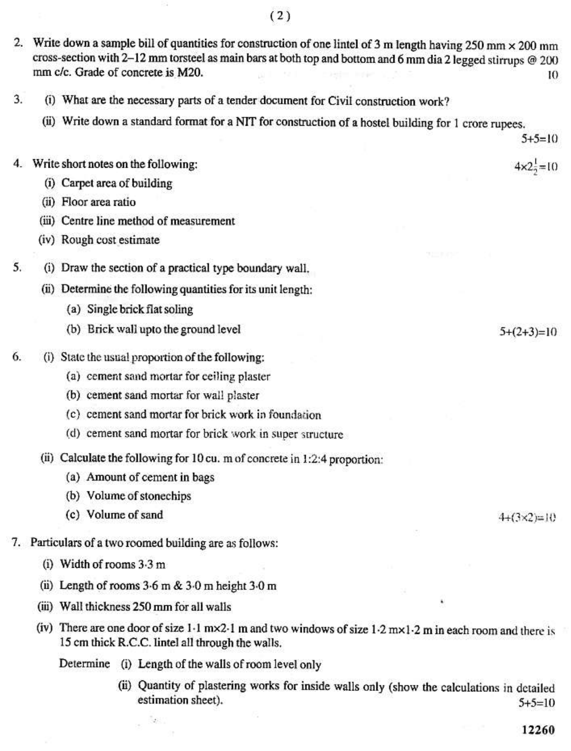- 2. Write down a sample bill of quantities for construction of one lintel of 3 m length having 250 mm  $\times$  200 mm cross-section with 2-12 mm torsteel as main bars at both top and bottom and 6 mm dia 2 legged stirrups @ 200 mm c/c. Grade of concrete is M20. ю
- 3. (i) What are the necessary parts of a tender document for Civil construction work?
	- (ii) Write down a standard format for a NIT for construction of a hostel building for 1 crore rupees.

 $5+5=10$ 

 $4 \times 2\frac{1}{2} = 10$ 

- 4. Write short notes on the following:
	- (i) Carpet area of building
	- (ii) Floor area ratio
	- (iii) Centre line method of measurement
	- (iv) Rough cost estimate
- 5. (i) Draw the section of a practical type boundary wall.
	- (ii) Determine the following quantities for its unit length:
		- (a) Single brick flat soling
		- (b) Brick wall upto the ground level
- 6. (i) State the usual proportion of the following:
	- (a) cement sand mortar for ceiling plaster
	- (b) cement sand mortar for wall plaster
	- (c) cement sand mortar for brick work in foundation
	- (d) cement sand mortar for brick work in super structure
	- (ii) Calculate the following for 10 cu. m of concrete in 1:2:4 proportion:
		- (a) Amount of cement in bags
		- (b) Volume of stonechips
		- (c) Volume of sand
- 7. Particulars of a two roomed building are as follows:
	- (i) Width of rooms  $3.3 \text{ m}$
	- (ii) Length of rooms  $3.6$  m &  $3.0$  m height  $3.0$  m
	- (iii) Wall thickness 250 mm for all walls
	- (iv) There are one door of size  $1.1$  m×2.1 m and two windows of size  $1.2$  m×1.2 m in each room and there is 15 cm thick R.C.C. lintel all through the walls.
		- Determine (i) Length of the walls of room level only
			- (ii) Quantity of plastering works for inside walls only (show the calculations in detailed estimation sheet).  $5+5=10$

 $5+(2+3)=10$ 

 $4+(3\times2)=10$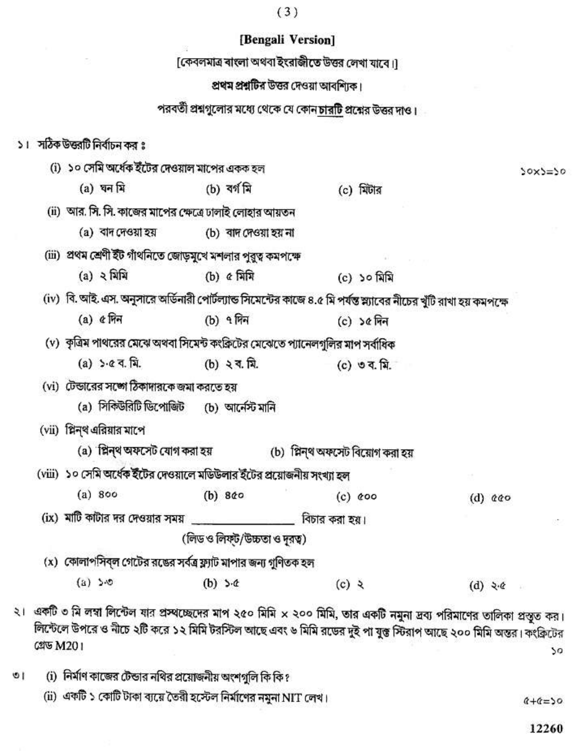|                                                                                                                       |                               | [Bengali Version]                                                            |              |  |                   |           |
|-----------------------------------------------------------------------------------------------------------------------|-------------------------------|------------------------------------------------------------------------------|--------------|--|-------------------|-----------|
|                                                                                                                       |                               | [কেবলমাত্র বাংলা অথবা ইংরাজীতে উত্তর লেখা যাবে।]                             |              |  |                   |           |
|                                                                                                                       |                               | প্রথম প্রশ্নটির উত্তর দেওয়া আবশ্যিক।                                        |              |  |                   |           |
|                                                                                                                       |                               | পরবর্তী প্রশ্নগুলোর মধ্যে থেকে যে কোন <mark>চারটি</mark> প্রশ্নের উত্তর দাও। |              |  |                   |           |
|                                                                                                                       |                               |                                                                              |              |  |                   |           |
| ।   সঠিক উজরটি নির্বাচন কর ঃ                                                                                          |                               |                                                                              |              |  |                   |           |
| (i) ১০ সেমি অর্ধেক ইটের দেওয়াল মাপের একক হল                                                                          |                               |                                                                              |              |  |                   | $50x5=50$ |
| (a) ঘন মি                                                                                                             | (b) বৰ্গ মি                   |                                                                              | $(c)$ মিটার  |  |                   |           |
| (ii) আর. সি. সি. কাজের মাপের ক্ষেত্রে ঢালাই লোহার আয়তন                                                               |                               |                                                                              |              |  |                   |           |
| (a) বাদ দেওয়া হয়                                                                                                    | (b) বাদ দেওয়া হয় না         |                                                                              |              |  |                   |           |
| (iii)  প্রথম শ্রেণী ইঁট গাঁথনিতে জোড়মুখে মশলার পুরুত্ব কমপক্ষে                                                       |                               |                                                                              |              |  |                   |           |
| (a) ২ মিমি                                                                                                            | $(b)$ $\alpha$ মিমি           |                                                                              | (c) ১০ মিমি  |  |                   |           |
| (iv)  বি. আই. এস. অনুসারে অর্ডিনারী পোর্টল্যান্ড সিমেন্টের কাজে ৪.৫ মি পর্যন্ত স্ন্যাবের নীচের খুঁটি রাখা হয় কমপক্ষে |                               |                                                                              |              |  |                   |           |
| $(a)$ ৫ দিন                                                                                                           | (b) ৭ দিন                     |                                                                              | $(c)$ ১৫ দিন |  |                   |           |
| (v) কৃত্রিম পাথরের মেঝে অথবা সিমেন্ট কংক্রিটের মেঝেতে প্যানেলগুলির মাপ সর্বাধিক                                       |                               |                                                                              |              |  |                   |           |
| $(a) > c 4. \nabla.$                                                                                                  | (b) $3.7.7.7.$                |                                                                              | (c) ৩ ব. মি. |  |                   |           |
| (vi) টেন্ডারের সঙ্গো ঠিকাদারকে জমা করতে হয়                                                                           |                               |                                                                              |              |  |                   |           |
| (a) সিকিউরিটি ডিপোজিট (b) আর্নেস্ট মানি                                                                               |                               |                                                                              |              |  |                   |           |
| (vii) প্লিন্থ এরিয়ার মাপে                                                                                            |                               |                                                                              |              |  |                   |           |
| (a) প্লিন্থ অফসেট যোগ করা হয়                   (b) প্লিন্থ অফসেট বিয়োগ করা হয়                                      |                               |                                                                              |              |  |                   |           |
| (viii) ১০ সেমি অর্ধেক ইঁটের দেওয়ালে মডিউলার ইঁটের প্রয়োজনীয় সংখ্যা হল                                              |                               |                                                                              |              |  |                   |           |
| (a) 800                                                                                                               | $(b)$ 8 $60$                  |                                                                              | $(c)$ $c$ 00 |  | (d) $000$         |           |
| $(ix)$ মাটি কাটার দর দেওয়ার সময় _________________                                                                   |                               | বিচার করা হয়।                                                               |              |  |                   |           |
|                                                                                                                       | (লিড ও লিফ্ট/উচ্চতা ও দুরত্ব) |                                                                              |              |  |                   |           |
| (x) কোলাপসিব্ল গেটের রঙের সর্বত্র ফ্র্যাট মাপার জন্য গুণিতক হল                                                        |                               |                                                                              |              |  |                   |           |
| (x) > 0                                                                                                               | (b) $5 - 4$                   | $(c)$ $\lambda$                                                              |              |  | $(d) \geqslant c$ |           |
| একটি ৩ মি লম্বা লিন্টেল যার প্রস্থচ্ছেদের মাপ ২৫০ মিমি × ২০০ মিমি, তার একটি নমুনা দ্রব্য পরিমাণের তালিকা প্রস্তত কর।  |                               |                                                                              |              |  |                   |           |

 $(3)$ 

 $\frac{1}{2}$ লিন্টেলে উপরে ও নীচে ২টি করে ১২ মিমি টরস্টিল আছে এবং ৬ মিমি রডের দুই পা যুক্ত স্টিরাপ আছে ২০০ মিমি অন্তর। কংক্রিটের গ্রেড M201 so

(i) নির্মাণ কাজের টেন্ডার নথির প্রয়োজনীয় অংশগুলি কি কি ?  $\overline{0}$ 

 $\mathbf{v}$ 

(ii) একটি ১ কোটি টাকা ব্যয়ে তৈরী হস্টেল নির্মাণের নমুনা NIT লেখ।

 $6+6=50$ 

12260